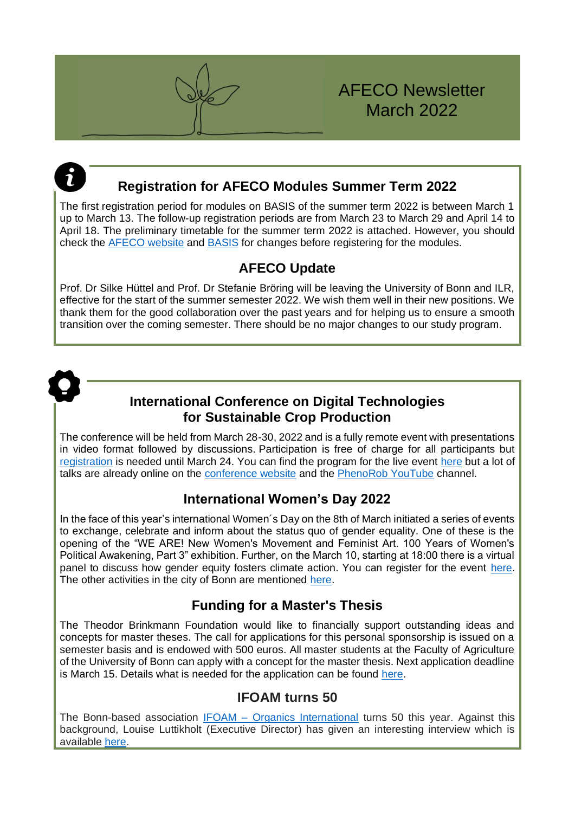

# **Registration for AFECO Modules Summer Term 2022**

The first registration period for modules on BASIS of the summer term 2022 is between March 1 up to March 13. The follow-up registration periods are from March 23 to March 29 and April 14 to April 18. The preliminary timetable for the summer term 2022 is attached. However, you should check the [AFECO website](https://www.afeco.uni-bonn.de/) and [BASIS](https://basis.uni-bonn.de/qisserver/rds?state=user&type=0) for changes before registering for the modules.

## **AFECO Update**

Prof. Dr Silke Hüttel and Prof. Dr Stefanie Bröring will be leaving the University of Bonn and ILR, effective for the start of the summer semester 2022. We wish them well in their new positions. We thank them for the good collaboration over the past years and for helping us to ensure a smooth transition over the coming semester. There should be no major changes to our study program.



## **International Conference on Digital Technologies for Sustainable Crop Production**

The conference will be held from March 28-30, 2022 and is a fully remote event with presentations in video format followed by discussions. Participation is free of charge for all participants but [registration](https://digicrop.de/register/) is needed until March 24. You can find the program for the live event [here](https://digicrop.de/program/) but a lot of talks are already online on the [conference website](https://digicrop.de/) and the [PhenoRob YouTube](https://www.youtube.com/watch?v=cxUopxvyeOA) channel.

# **International Women's Day 2022**

In the face of this year's international Women´s Day on the 8th of March initiated a series of events to exchange, celebrate and inform about the status quo of gender equality. One of these is the opening of the "WE ARE! New Women's Movement and Feminist Art. 100 Years of Women's Political Awakening, Part 3" exhibition. Further, on the March 10, starting at 18:00 there is a virtual panel to discuss how gender equity fosters climate action. You can register for the event [here.](https://www.bonn.de/microsite/en/events-calendar/events/main-calendar/closing-the-climate-gap.php) The other activities in the city of Bonn are mentioned [here.](https://www.bonn.de/microsite/en/highlights/events-calendar/international-womens-day.php?pk_campaign=Bonn+International&pk_kwd=2%2F2022+%28160500%29&pk_source=&pk_content=BONN%E2%80%99S+ACTIVITIES+FOR+INTERNATIONAL+WOMEN%E2%80%99S+DAY+2022+%28160528%29)

## **Funding for a Master's Thesis**

The Theodor Brinkmann Foundation would like to financially support outstanding ideas and concepts for master theses. The call for applications for this personal sponsorship is issued on a semester basis and is endowed with 500 euros. All master students at the Faculty of Agriculture of the University of Bonn can apply with a concept for the master thesis. Next application deadline is March 15. Details what is needed for the application can be found [here.](https://www.theodor-brinkmann-stiftung.de/pdf/TBS-Plakatvorlage-Masterpreis2021-Herbst.pdf)

## **IFOAM turns 50**

The Bonn-based association IFOAM – [Organics International](https://www.ifoam.bio/) turns 50 this year. Against this background, Louise Luttikholt (Executive Director) has given an interesting interview which is available [here.](https://www.bonn.de/microsite/en/international-profile/guest-contributions/making-global-agriculture-sustainable.php?pk_campaign=Bonn+International&pk_kwd=2%2F2022+%28160500%29&pk_source=&pk_content=MAKING+GLOBAL+AGRICULTURE+SUSTAINABLE%3A+IFOAM+–+ORGANICS+INTERNATIONAL+TURNS+50+%28160612%29)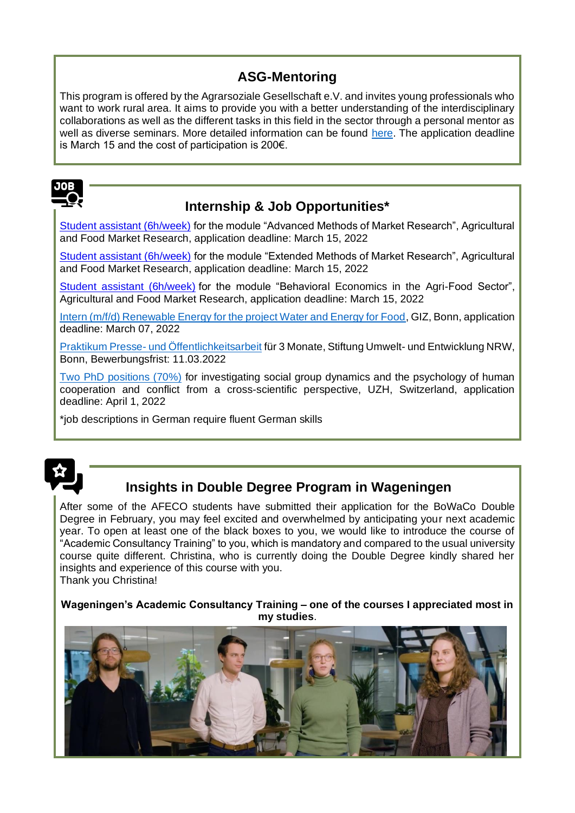# **ASG-Mentoring**

This program is offered by the Agrarsoziale Gesellschaft e.V. and invites young professionals who want to work rural area. It aims to provide you with a better understanding of the interdisciplinary collaborations as well as the different tasks in this field in the sector through a personal mentor as well as diverse seminars. More detailed information can be found [here.](https://www.asg-goe.de/mentoring/) The application deadline is March 15 and the cost of participation is 200€.



# **Internship & Job Opportunities\***

[Student assistant \(6h/week\)](https://www.ilr1.uni-bonn.de/de/jobs/student-assistant-advanced-methods-of-market-research-summer-2022.pdf) for the module "Advanced Methods of Market Research", Agricultural and Food Market Research, application deadline: March 15, 2022

[Student assistant \(6h/week\)](https://www.ilr1.uni-bonn.de/de/jobs/student-assistant-extended-methods-of-market-research-summer-2022.pdf) for the module "Extended Methods of Market Research", Agricultural and Food Market Research, application deadline: March 15, 2022

[Student assistant \(6h/week\)](https://www.ilr1.uni-bonn.de/de/jobs/student-assistant-behavioral-economics-summer-2022.pdf) for the module "Behavioral Economics in the Agri-Food Sector", Agricultural and Food Market Research, application deadline: March 15, 2022

[Intern \(m/f/d\) Renewable Energy for the project Water and Energy for Food,](https://jobs.giz.de/index.php?ac=jobad&id=59961) GIZ, Bonn, application deadline: March 07, 2022

Praktikum Presse- [und Öffentlichkeitsarbeit](https://www.sue-nrw.de/praktikum-presse-und-oeffentlichkeitsarbeit/) für 3 Monate, Stiftung Umwelt- und Entwicklung NRW, Bonn, Bewerbungsfrist: 11.03.2022

[Two PhD positions \(70%\)](https://jobs.uzh.ch/offene-stellen/two-phd-positions/13f13add-5ab7-47ec-bed5-3ac774830013) for investigating social group dynamics and the psychology of human cooperation and conflict from a cross-scientific perspective, UZH, Switzerland, application deadline: April 1, 2022

\*job descriptions in German require fluent German skills



# **Insights in Double Degree Program in Wageningen**

After some of the AFECO students have submitted their application for the BoWaCo Double Degree in February, you may feel excited and overwhelmed by anticipating your next academic year. To open at least one of the black boxes to you, we would like to introduce the course of "Academic Consultancy Training" to you, which is mandatory and compared to the usual university course quite different. Christina, who is currently doing the Double Degree kindly shared her insights and experience of this course with you. Thank you Christina!

**Wageningen's Academic Consultancy Training – one of the courses I appreciated most in my studies**.

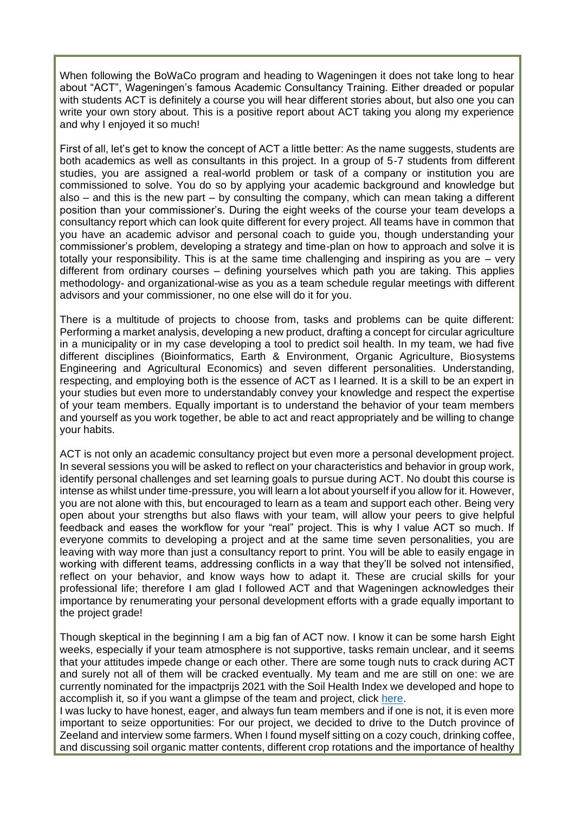When following the BoWaCo program and heading to Wageningen it does not take long to hear about "ACT", Wageningen's famous Academic Consultancy Training. Either dreaded or popular with students ACT is definitely a course you will hear different stories about, but also one you can write your own story about. This is a positive report about ACT taking you along my experience and why I enjoyed it so much!

First of all, let's get to know the concept of ACT a little better: As the name suggests, students are both academics as well as consultants in this project. In a group of 5-7 students from different studies, you are assigned a real-world problem or task of a company or institution you are commissioned to solve. You do so by applying your academic background and knowledge but also – and this is the new part – by consulting the company, which can mean taking a different position than your commissioner's. During the eight weeks of the course your team develops a consultancy report which can look quite different for every project. All teams have in common that you have an academic advisor and personal coach to guide you, though understanding your commissioner's problem, developing a strategy and time-plan on how to approach and solve it is totally your responsibility. This is at the same time challenging and inspiring as you are – very different from ordinary courses – defining yourselves which path you are taking. This applies methodology- and organizational-wise as you as a team schedule regular meetings with different advisors and your commissioner, no one else will do it for you.

There is a multitude of projects to choose from, tasks and problems can be quite different: Performing a market analysis, developing a new product, drafting a concept for circular agriculture in a municipality or in my case developing a tool to predict soil health. In my team, we had five different disciplines (Bioinformatics, Earth & Environment, Organic Agriculture, Biosystems Engineering and Agricultural Economics) and seven different personalities. Understanding, respecting, and employing both is the essence of ACT as I learned. It is a skill to be an expert in your studies but even more to understandably convey your knowledge and respect the expertise of your team members. Equally important is to understand the behavior of your team members and yourself as you work together, be able to act and react appropriately and be willing to change your habits.

ACT is not only an academic consultancy project but even more a personal development project. In several sessions you will be asked to reflect on your characteristics and behavior in group work, identify personal challenges and set learning goals to pursue during ACT. No doubt this course is intense as whilst under time-pressure, you will learn a lot about yourself if you allow for it. However, you are not alone with this, but encouraged to learn as a team and support each other. Being very open about your strengths but also flaws with your team, will allow your peers to give helpful feedback and eases the workflow for your "real" project. This is why I value ACT so much. If everyone commits to developing a project and at the same time seven personalities, you are leaving with way more than just a consultancy report to print. You will be able to easily engage in working with different teams, addressing conflicts in a way that they'll be solved not intensified, reflect on your behavior, and know ways how to adapt it. These are crucial skills for your professional life; therefore I am glad I followed ACT and that Wageningen acknowledges their importance by renumerating your personal development efforts with a grade equally important to the project grade!

Though skeptical in the beginning I am a big fan of ACT now. I know it can be some harsh Eight weeks, especially if your team atmosphere is not supportive, tasks remain unclear, and it seems that your attitudes impede change or each other. There are some tough nuts to crack during ACT and surely not all of them will be cracked eventually. My team and me are still on one: we are currently nominated for the impactprijs 2021 with the Soil Health Index we developed and hope to accomplish it, so if you want a glimpse of the team and project, click [here.](https://www.groenpact.nl/groen-in-actie/towards-a-soil-health-index-van-wageningen-university-genomineerd-voor-de-impactprijs-2021)

I was lucky to have honest, eager, and always fun team members and if one is not, it is even more important to seize opportunities: For our project, we decided to drive to the Dutch province of Zeeland and interview some farmers. When I found myself sitting on a cozy couch, drinking coffee, and discussing soil organic matter contents, different crop rotations and the importance of healthy